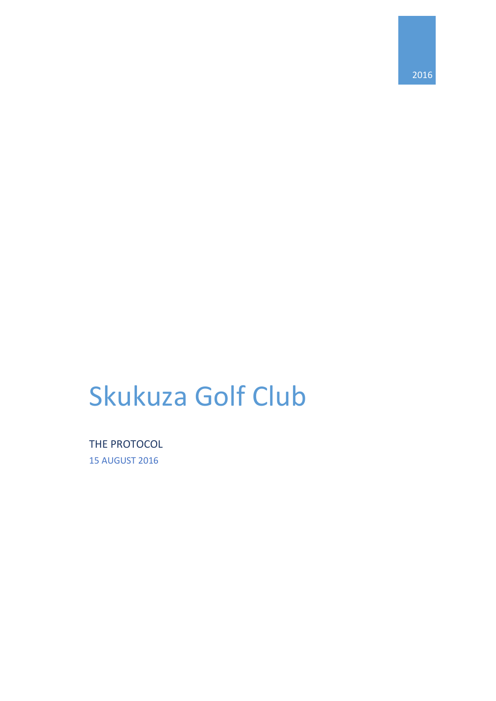# Skukuza Golf Club

THE PROTOCOL 15 AUGUST 2016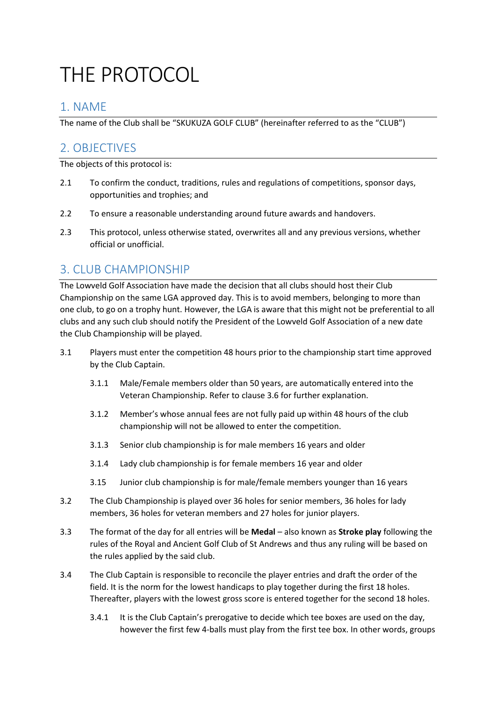## THE PROTOCOL

### 1. NAME

The name of the Club shall be "SKUKUZA GOLF CLUB" (hereinafter referred to as the "CLUB")

## 2. OBJECTIVES

The objects of this protocol is:

- 2.1 To confirm the conduct, traditions, rules and regulations of competitions, sponsor days, opportunities and trophies; and
- 2.2 To ensure a reasonable understanding around future awards and handovers.
- 2.3 This protocol, unless otherwise stated, overwrites all and any previous versions, whether official or unofficial.

### 3. CLUB CHAMPIONSHIP

The Lowveld Golf Association have made the decision that all clubs should host their Club Championship on the same LGA approved day. This is to avoid members, belonging to more than one club, to go on a trophy hunt. However, the LGA is aware that this might not be preferential to all clubs and any such club should notify the President of the Lowveld Golf Association of a new date the Club Championship will be played.

- 3.1 Players must enter the competition 48 hours prior to the championship start time approved by the Club Captain.
	- 3.1.1 Male/Female members older than 50 years, are automatically entered into the Veteran Championship. Refer to clause 3.6 for further explanation.
	- 3.1.2 Member's whose annual fees are not fully paid up within 48 hours of the club championship will not be allowed to enter the competition.
	- 3.1.3 Senior club championship is for male members 16 years and older
	- 3.1.4 Lady club championship is for female members 16 year and older
	- 3.15 Junior club championship is for male/female members younger than 16 years
- 3.2 The Club Championship is played over 36 holes for senior members, 36 holes for lady members, 36 holes for veteran members and 27 holes for junior players.
- 3.3 The format of the day for all entries will be **Medal** also known as **Stroke play** following the rules of the Royal and Ancient Golf Club of St Andrews and thus any ruling will be based on the rules applied by the said club.
- 3.4 The Club Captain is responsible to reconcile the player entries and draft the order of the field. It is the norm for the lowest handicaps to play together during the first 18 holes. Thereafter, players with the lowest gross score is entered together for the second 18 holes.
	- 3.4.1 It is the Club Captain's prerogative to decide which tee boxes are used on the day, however the first few 4-balls must play from the first tee box. In other words, groups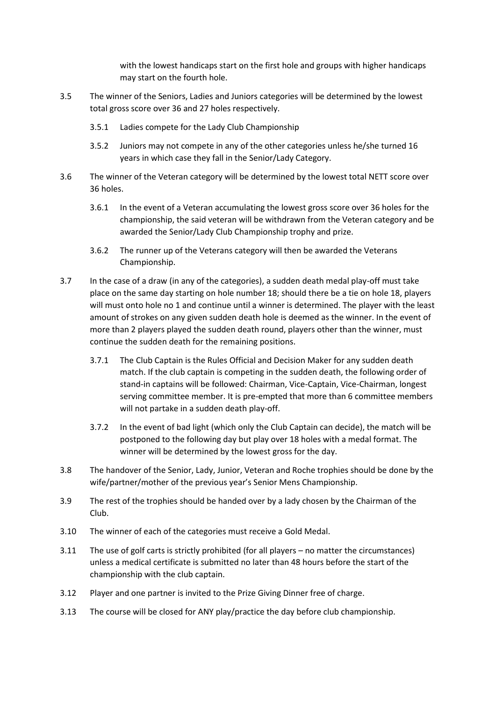with the lowest handicaps start on the first hole and groups with higher handicaps may start on the fourth hole.

- 3.5 The winner of the Seniors, Ladies and Juniors categories will be determined by the lowest total gross score over 36 and 27 holes respectively.
	- 3.5.1 Ladies compete for the Lady Club Championship
	- 3.5.2 Juniors may not compete in any of the other categories unless he/she turned 16 years in which case they fall in the Senior/Lady Category.
- 3.6 The winner of the Veteran category will be determined by the lowest total NETT score over 36 holes.
	- 3.6.1 In the event of a Veteran accumulating the lowest gross score over 36 holes for the championship, the said veteran will be withdrawn from the Veteran category and be awarded the Senior/Lady Club Championship trophy and prize.
	- 3.6.2 The runner up of the Veterans category will then be awarded the Veterans Championship.
- 3.7 In the case of a draw (in any of the categories), a sudden death medal play-off must take place on the same day starting on hole number 18; should there be a tie on hole 18, players will must onto hole no 1 and continue until a winner is determined. The player with the least amount of strokes on any given sudden death hole is deemed as the winner. In the event of more than 2 players played the sudden death round, players other than the winner, must continue the sudden death for the remaining positions.
	- 3.7.1 The Club Captain is the Rules Official and Decision Maker for any sudden death match. If the club captain is competing in the sudden death, the following order of stand-in captains will be followed: Chairman, Vice-Captain, Vice-Chairman, longest serving committee member. It is pre-empted that more than 6 committee members will not partake in a sudden death play-off.
	- 3.7.2 In the event of bad light (which only the Club Captain can decide), the match will be postponed to the following day but play over 18 holes with a medal format. The winner will be determined by the lowest gross for the day.
- 3.8 The handover of the Senior, Lady, Junior, Veteran and Roche trophies should be done by the wife/partner/mother of the previous year's Senior Mens Championship.
- 3.9 The rest of the trophies should be handed over by a lady chosen by the Chairman of the Club.
- 3.10 The winner of each of the categories must receive a Gold Medal.
- 3.11 The use of golf carts is strictly prohibited (for all players no matter the circumstances) unless a medical certificate is submitted no later than 48 hours before the start of the championship with the club captain.
- 3.12 Player and one partner is invited to the Prize Giving Dinner free of charge.
- 3.13 The course will be closed for ANY play/practice the day before club championship.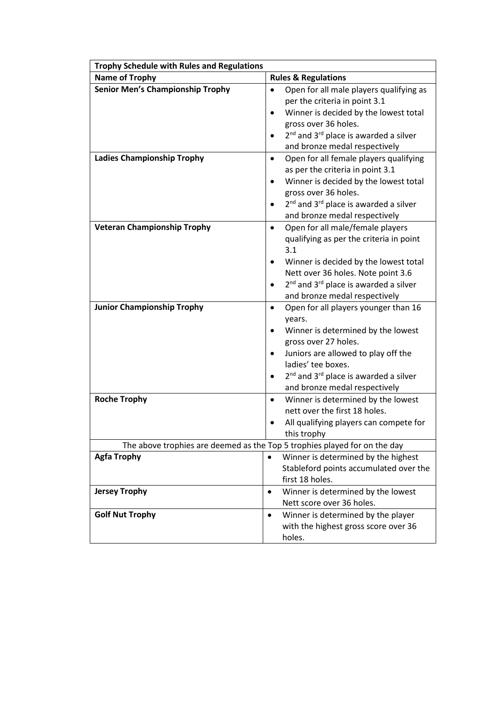| <b>Trophy Schedule with Rules and Regulations</b>                         |                                                                                                                                                                                                                                                                                                                 |  |  |
|---------------------------------------------------------------------------|-----------------------------------------------------------------------------------------------------------------------------------------------------------------------------------------------------------------------------------------------------------------------------------------------------------------|--|--|
| <b>Name of Trophy</b>                                                     | <b>Rules &amp; Regulations</b>                                                                                                                                                                                                                                                                                  |  |  |
| <b>Senior Men's Championship Trophy</b>                                   | Open for all male players qualifying as<br>$\bullet$<br>per the criteria in point 3.1<br>Winner is decided by the lowest total<br>$\bullet$<br>gross over 36 holes.<br>2 <sup>nd</sup> and 3 <sup>rd</sup> place is awarded a silver<br>$\bullet$<br>and bronze medal respectively                              |  |  |
| <b>Ladies Championship Trophy</b>                                         | Open for all female players qualifying<br>$\bullet$<br>as per the criteria in point 3.1<br>Winner is decided by the lowest total<br>$\bullet$<br>gross over 36 holes.<br>2 <sup>nd</sup> and 3 <sup>rd</sup> place is awarded a silver<br>and bronze medal respectively                                         |  |  |
| <b>Veteran Championship Trophy</b>                                        | Open for all male/female players<br>$\bullet$<br>qualifying as per the criteria in point<br>3.1<br>Winner is decided by the lowest total<br>Nett over 36 holes. Note point 3.6<br>2 <sup>nd</sup> and 3 <sup>rd</sup> place is awarded a silver<br>and bronze medal respectively                                |  |  |
| <b>Junior Championship Trophy</b>                                         | Open for all players younger than 16<br>$\bullet$<br>years.<br>Winner is determined by the lowest<br>٠<br>gross over 27 holes.<br>Juniors are allowed to play off the<br>٠<br>ladies' tee boxes.<br>2 <sup>nd</sup> and 3 <sup>rd</sup> place is awarded a silver<br>$\bullet$<br>and bronze medal respectively |  |  |
| <b>Roche Trophy</b>                                                       | Winner is determined by the lowest<br>$\bullet$<br>nett over the first 18 holes.<br>All qualifying players can compete for<br>this trophy                                                                                                                                                                       |  |  |
| The above trophies are deemed as the Top 5 trophies played for on the day |                                                                                                                                                                                                                                                                                                                 |  |  |
| <b>Agfa Trophy</b>                                                        | Winner is determined by the highest<br>Stableford points accumulated over the<br>first 18 holes.                                                                                                                                                                                                                |  |  |
| <b>Jersey Trophy</b>                                                      | Winner is determined by the lowest<br>$\bullet$<br>Nett score over 36 holes.                                                                                                                                                                                                                                    |  |  |
| <b>Golf Nut Trophy</b>                                                    | Winner is determined by the player<br>$\bullet$<br>with the highest gross score over 36<br>holes.                                                                                                                                                                                                               |  |  |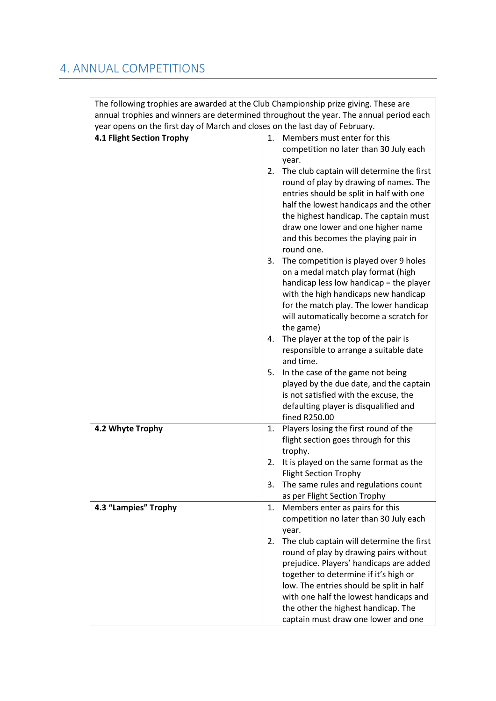## 4. ANNUAL COMPETITIONS

| The following trophies are awarded at the Club Championship prize giving. These are    |                                                                                                                                                                                                                                                                                                                                                                                                      |
|----------------------------------------------------------------------------------------|------------------------------------------------------------------------------------------------------------------------------------------------------------------------------------------------------------------------------------------------------------------------------------------------------------------------------------------------------------------------------------------------------|
| annual trophies and winners are determined throughout the year. The annual period each |                                                                                                                                                                                                                                                                                                                                                                                                      |
| year opens on the first day of March and closes on the last day of February.           |                                                                                                                                                                                                                                                                                                                                                                                                      |
| 4.1 Flight Section Trophy                                                              | Members must enter for this<br>1.<br>competition no later than 30 July each<br>year.                                                                                                                                                                                                                                                                                                                 |
|                                                                                        | The club captain will determine the first<br>2.<br>round of play by drawing of names. The<br>entries should be split in half with one<br>half the lowest handicaps and the other<br>the highest handicap. The captain must<br>draw one lower and one higher name<br>and this becomes the playing pair in<br>round one.                                                                               |
|                                                                                        | The competition is played over 9 holes<br>3.<br>on a medal match play format (high<br>handicap less low handicap = the player<br>with the high handicaps new handicap<br>for the match play. The lower handicap<br>will automatically become a scratch for<br>the game)                                                                                                                              |
|                                                                                        | The player at the top of the pair is<br>4.<br>responsible to arrange a suitable date<br>and time.                                                                                                                                                                                                                                                                                                    |
|                                                                                        | 5.<br>In the case of the game not being<br>played by the due date, and the captain<br>is not satisfied with the excuse, the<br>defaulting player is disqualified and<br>fined R250.00                                                                                                                                                                                                                |
| 4.2 Whyte Trophy                                                                       | Players losing the first round of the<br>1.<br>flight section goes through for this<br>trophy.                                                                                                                                                                                                                                                                                                       |
|                                                                                        | It is played on the same format as the<br>2.<br><b>Flight Section Trophy</b>                                                                                                                                                                                                                                                                                                                         |
|                                                                                        | The same rules and regulations count<br>3.<br>as per Flight Section Trophy                                                                                                                                                                                                                                                                                                                           |
| 4.3 "Lampies" Trophy                                                                   | Members enter as pairs for this<br>1.                                                                                                                                                                                                                                                                                                                                                                |
|                                                                                        | competition no later than 30 July each<br>year.<br>The club captain will determine the first<br>2.<br>round of play by drawing pairs without<br>prejudice. Players' handicaps are added<br>together to determine if it's high or<br>low. The entries should be split in half<br>with one half the lowest handicaps and<br>the other the highest handicap. The<br>captain must draw one lower and one |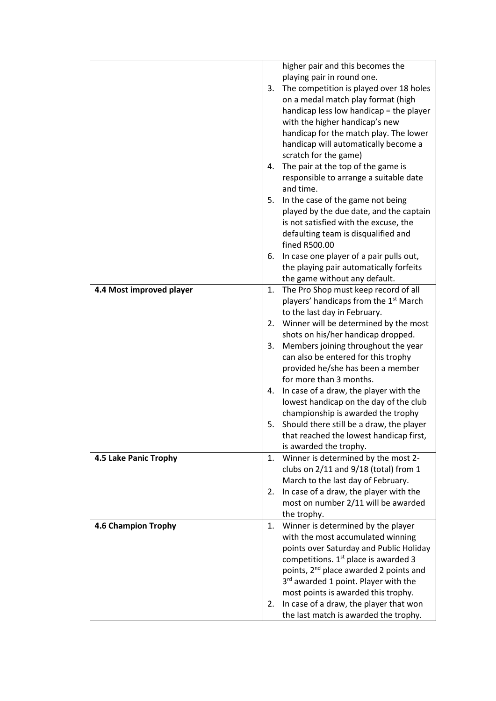|                          | higher pair and this becomes the<br>playing pair in round one.<br>The competition is played over 18 holes<br>3.<br>on a medal match play format (high<br>handicap less low handicap = the player<br>with the higher handicap's new<br>handicap for the match play. The lower<br>handicap will automatically become a<br>scratch for the game)<br>The pair at the top of the game is<br>4.<br>responsible to arrange a suitable date<br>and time.<br>5.<br>In the case of the game not being<br>played by the due date, and the captain<br>is not satisfied with the excuse, the<br>defaulting team is disqualified and<br>fined R500.00<br>In case one player of a pair pulls out,<br>6.<br>the playing pair automatically forfeits |
|--------------------------|-------------------------------------------------------------------------------------------------------------------------------------------------------------------------------------------------------------------------------------------------------------------------------------------------------------------------------------------------------------------------------------------------------------------------------------------------------------------------------------------------------------------------------------------------------------------------------------------------------------------------------------------------------------------------------------------------------------------------------------|
|                          | the game without any default.                                                                                                                                                                                                                                                                                                                                                                                                                                                                                                                                                                                                                                                                                                       |
| 4.4 Most improved player | The Pro Shop must keep record of all<br>1.<br>players' handicaps from the 1 <sup>st</sup> March<br>to the last day in February.<br>Winner will be determined by the most<br>2.<br>shots on his/her handicap dropped.<br>Members joining throughout the year<br>3.<br>can also be entered for this trophy<br>provided he/she has been a member                                                                                                                                                                                                                                                                                                                                                                                       |
|                          | for more than 3 months.<br>In case of a draw, the player with the<br>4.<br>lowest handicap on the day of the club<br>championship is awarded the trophy<br>Should there still be a draw, the player<br>5.<br>that reached the lowest handicap first,<br>is awarded the trophy.                                                                                                                                                                                                                                                                                                                                                                                                                                                      |
| 4.5 Lake Panic Trophy    | Winner is determined by the most 2-<br>1.<br>clubs on $2/11$ and $9/18$ (total) from 1<br>March to the last day of February.<br>In case of a draw, the player with the<br>2.                                                                                                                                                                                                                                                                                                                                                                                                                                                                                                                                                        |
|                          | most on number 2/11 will be awarded<br>the trophy.                                                                                                                                                                                                                                                                                                                                                                                                                                                                                                                                                                                                                                                                                  |
| 4.6 Champion Trophy      | Winner is determined by the player<br>1.<br>with the most accumulated winning<br>points over Saturday and Public Holiday<br>competitions. 1 <sup>st</sup> place is awarded 3<br>points, 2 <sup>nd</sup> place awarded 2 points and<br>3 <sup>rd</sup> awarded 1 point. Player with the<br>most points is awarded this trophy.<br>In case of a draw, the player that won<br>2.<br>the last match is awarded the trophy.                                                                                                                                                                                                                                                                                                              |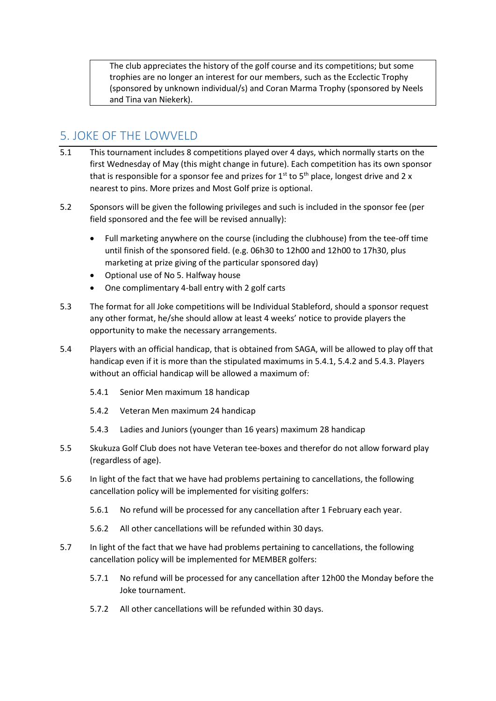The club appreciates the history of the golf course and its competitions; but some trophies are no longer an interest for our members, such as the Ecclectic Trophy (sponsored by unknown individual/s) and Coran Marma Trophy (sponsored by Neels and Tina van Niekerk).

## 5. JOKE OF THE LOWVELD

- 5.1 This tournament includes 8 competitions played over 4 days, which normally starts on the first Wednesday of May (this might change in future). Each competition has its own sponsor that is responsible for a sponsor fee and prizes for  $1^{st}$  to  $5^{th}$  place, longest drive and 2 x nearest to pins. More prizes and Most Golf prize is optional.
- 5.2 Sponsors will be given the following privileges and such is included in the sponsor fee (per field sponsored and the fee will be revised annually):
	- Full marketing anywhere on the course (including the clubhouse) from the tee-off time until finish of the sponsored field. (e.g. 06h30 to 12h00 and 12h00 to 17h30, plus marketing at prize giving of the particular sponsored day)
	- Optional use of No 5. Halfway house
	- One complimentary 4-ball entry with 2 golf carts
- 5.3 The format for all Joke competitions will be Individual Stableford, should a sponsor request any other format, he/she should allow at least 4 weeks' notice to provide players the opportunity to make the necessary arrangements.
- 5.4 Players with an official handicap, that is obtained from SAGA, will be allowed to play off that handicap even if it is more than the stipulated maximums in 5.4.1, 5.4.2 and 5.4.3. Players without an official handicap will be allowed a maximum of:
	- 5.4.1 Senior Men maximum 18 handicap
	- 5.4.2 Veteran Men maximum 24 handicap
	- 5.4.3 Ladies and Juniors (younger than 16 years) maximum 28 handicap
- 5.5 Skukuza Golf Club does not have Veteran tee-boxes and therefor do not allow forward play (regardless of age).
- 5.6 In light of the fact that we have had problems pertaining to cancellations, the following cancellation policy will be implemented for visiting golfers:
	- 5.6.1 No refund will be processed for any cancellation after 1 February each year.
	- 5.6.2 All other cancellations will be refunded within 30 days.
- 5.7 In light of the fact that we have had problems pertaining to cancellations, the following cancellation policy will be implemented for MEMBER golfers:
	- 5.7.1 No refund will be processed for any cancellation after 12h00 the Monday before the Joke tournament.
	- 5.7.2 All other cancellations will be refunded within 30 days.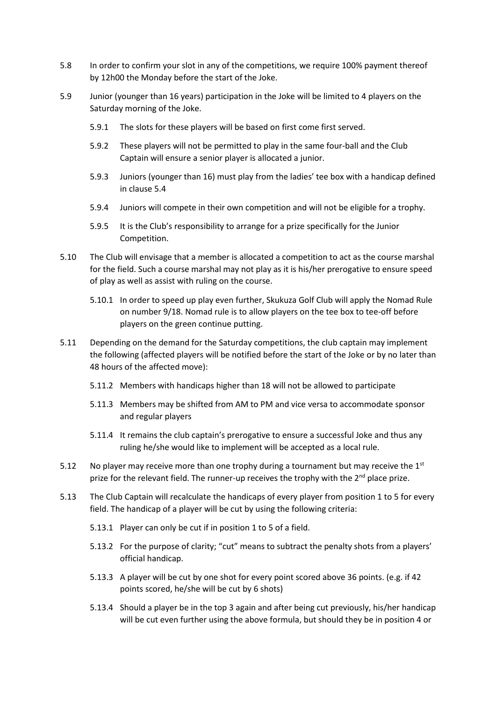- 5.8 In order to confirm your slot in any of the competitions, we require 100% payment thereof by 12h00 the Monday before the start of the Joke.
- 5.9 Junior (younger than 16 years) participation in the Joke will be limited to 4 players on the Saturday morning of the Joke.
	- 5.9.1 The slots for these players will be based on first come first served.
	- 5.9.2 These players will not be permitted to play in the same four-ball and the Club Captain will ensure a senior player is allocated a junior.
	- 5.9.3 Juniors (younger than 16) must play from the ladies' tee box with a handicap defined in clause 5.4
	- 5.9.4 Juniors will compete in their own competition and will not be eligible for a trophy.
	- 5.9.5 It is the Club's responsibility to arrange for a prize specifically for the Junior Competition.
- 5.10 The Club will envisage that a member is allocated a competition to act as the course marshal for the field. Such a course marshal may not play as it is his/her prerogative to ensure speed of play as well as assist with ruling on the course.
	- 5.10.1 In order to speed up play even further, Skukuza Golf Club will apply the Nomad Rule on number 9/18. Nomad rule is to allow players on the tee box to tee-off before players on the green continue putting.
- 5.11 Depending on the demand for the Saturday competitions, the club captain may implement the following (affected players will be notified before the start of the Joke or by no later than 48 hours of the affected move):
	- 5.11.2 Members with handicaps higher than 18 will not be allowed to participate
	- 5.11.3 Members may be shifted from AM to PM and vice versa to accommodate sponsor and regular players
	- 5.11.4 It remains the club captain's prerogative to ensure a successful Joke and thus any ruling he/she would like to implement will be accepted as a local rule.
- 5.12 No player may receive more than one trophy during a tournament but may receive the  $1<sup>st</sup>$ prize for the relevant field. The runner-up receives the trophy with the 2<sup>nd</sup> place prize.
- 5.13 The Club Captain will recalculate the handicaps of every player from position 1 to 5 for every field. The handicap of a player will be cut by using the following criteria:
	- 5.13.1 Player can only be cut if in position 1 to 5 of a field.
	- 5.13.2 For the purpose of clarity; "cut" means to subtract the penalty shots from a players' official handicap.
	- 5.13.3 A player will be cut by one shot for every point scored above 36 points. (e.g. if 42 points scored, he/she will be cut by 6 shots)
	- 5.13.4 Should a player be in the top 3 again and after being cut previously, his/her handicap will be cut even further using the above formula, but should they be in position 4 or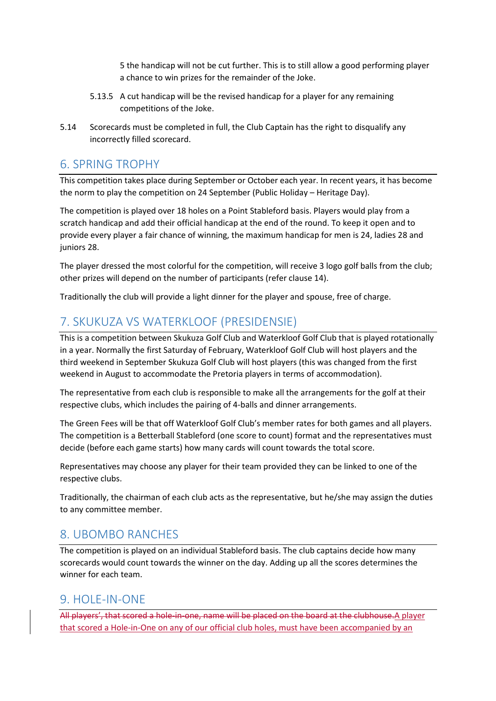5 the handicap will not be cut further. This is to still allow a good performing player a chance to win prizes for the remainder of the Joke.

- 5.13.5 A cut handicap will be the revised handicap for a player for any remaining competitions of the Joke.
- 5.14 Scorecards must be completed in full, the Club Captain has the right to disqualify any incorrectly filled scorecard.

#### 6. SPRING TROPHY

This competition takes place during September or October each year. In recent years, it has become the norm to play the competition on 24 September (Public Holiday – Heritage Day).

The competition is played over 18 holes on a Point Stableford basis. Players would play from a scratch handicap and add their official handicap at the end of the round. To keep it open and to provide every player a fair chance of winning, the maximum handicap for men is 24, ladies 28 and juniors 28.

The player dressed the most colorful for the competition, will receive 3 logo golf balls from the club; other prizes will depend on the number of participants (refer clause 14).

Traditionally the club will provide a light dinner for the player and spouse, free of charge.

## 7. SKUKUZA VS WATERKLOOF (PRESIDENSIE)

This is a competition between Skukuza Golf Club and Waterkloof Golf Club that is played rotationally in a year. Normally the first Saturday of February, Waterkloof Golf Club will host players and the third weekend in September Skukuza Golf Club will host players (this was changed from the first weekend in August to accommodate the Pretoria players in terms of accommodation).

The representative from each club is responsible to make all the arrangements for the golf at their respective clubs, which includes the pairing of 4-balls and dinner arrangements.

The Green Fees will be that off Waterkloof Golf Club's member rates for both games and all players. The competition is a Betterball Stableford (one score to count) format and the representatives must decide (before each game starts) how many cards will count towards the total score.

Representatives may choose any player for their team provided they can be linked to one of the respective clubs.

Traditionally, the chairman of each club acts as the representative, but he/she may assign the duties to any committee member.

#### 8. UBOMBO RANCHES

The competition is played on an individual Stableford basis. The club captains decide how many scorecards would count towards the winner on the day. Adding up all the scores determines the winner for each team.

#### 9. HOLE-IN-ONE

All players', that scored a hole-in-one, name will be placed on the board at the clubhouse.A player that scored a Hole-in-One on any of our official club holes, must have been accompanied by an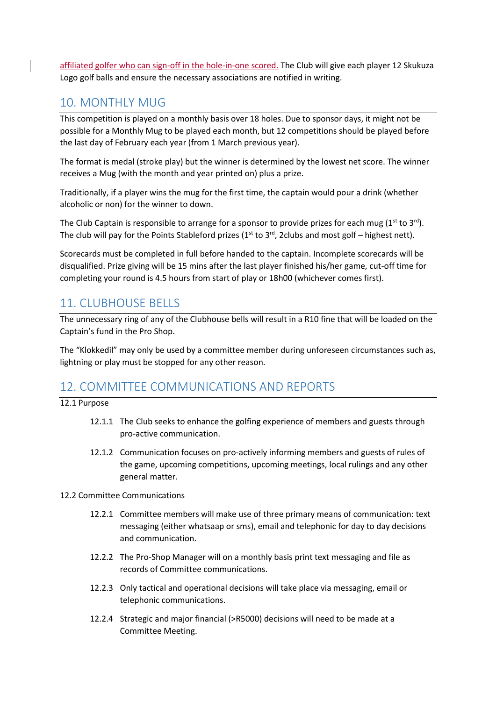affiliated golfer who can sign-off in the hole-in-one scored. The Club will give each player 12 Skukuza Logo golf balls and ensure the necessary associations are notified in writing.

#### 10. MONTHLY MUG

This competition is played on a monthly basis over 18 holes. Due to sponsor days, it might not be possible for a Monthly Mug to be played each month, but 12 competitions should be played before the last day of February each year (from 1 March previous year).

The format is medal (stroke play) but the winner is determined by the lowest net score. The winner receives a Mug (with the month and year printed on) plus a prize.

Traditionally, if a player wins the mug for the first time, the captain would pour a drink (whether alcoholic or non) for the winner to down.

The Club Captain is responsible to arrange for a sponsor to provide prizes for each mug  $(1^{st}$  to  $3^{rd})$ . The club will pay for the Points Stableford prizes ( $1^{st}$  to  $3^{rd}$ , 2clubs and most golf – highest nett).

Scorecards must be completed in full before handed to the captain. Incomplete scorecards will be disqualified. Prize giving will be 15 mins after the last player finished his/her game, cut-off time for completing your round is 4.5 hours from start of play or 18h00 (whichever comes first).

#### 11. CLUBHOUSE BELLS

The unnecessary ring of any of the Clubhouse bells will result in a R10 fine that will be loaded on the Captain's fund in the Pro Shop.

The "Klokkedil" may only be used by a committee member during unforeseen circumstances such as, lightning or play must be stopped for any other reason.

#### 12. COMMITTEE COMMUNICATIONS AND REPORTS

12.1 Purpose

- 12.1.1 The Club seeks to enhance the golfing experience of members and guests through pro-active communication.
- 12.1.2 Communication focuses on pro-actively informing members and guests of rules of the game, upcoming competitions, upcoming meetings, local rulings and any other general matter.
- 12.2 Committee Communications
	- 12.2.1 Committee members will make use of three primary means of communication: text messaging (either whatsaap or sms), email and telephonic for day to day decisions and communication.
	- 12.2.2 The Pro-Shop Manager will on a monthly basis print text messaging and file as records of Committee communications.
	- 12.2.3 Only tactical and operational decisions will take place via messaging, email or telephonic communications.
	- 12.2.4 Strategic and major financial (>R5000) decisions will need to be made at a Committee Meeting.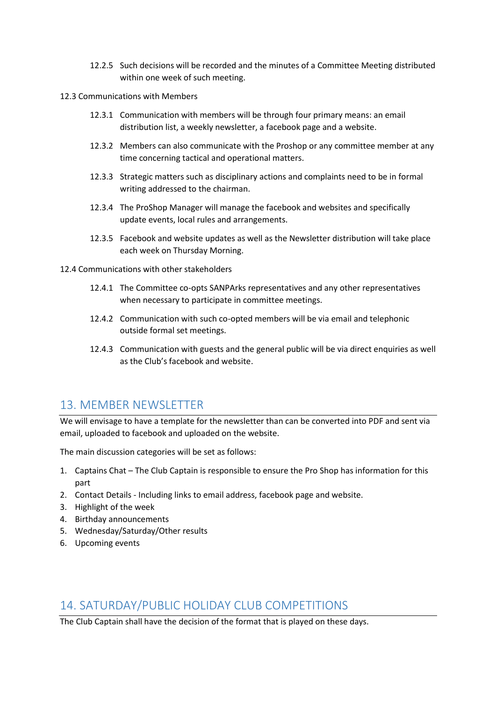- 12.2.5 Such decisions will be recorded and the minutes of a Committee Meeting distributed within one week of such meeting.
- 12.3 Communications with Members
	- 12.3.1 Communication with members will be through four primary means: an email distribution list, a weekly newsletter, a facebook page and a website.
	- 12.3.2 Members can also communicate with the Proshop or any committee member at any time concerning tactical and operational matters.
	- 12.3.3 Strategic matters such as disciplinary actions and complaints need to be in formal writing addressed to the chairman.
	- 12.3.4 The ProShop Manager will manage the facebook and websites and specifically update events, local rules and arrangements.
	- 12.3.5 Facebook and website updates as well as the Newsletter distribution will take place each week on Thursday Morning.

12.4 Communications with other stakeholders

- 12.4.1 The Committee co-opts SANPArks representatives and any other representatives when necessary to participate in committee meetings.
- 12.4.2 Communication with such co-opted members will be via email and telephonic outside formal set meetings.
- 12.4.3 Communication with guests and the general public will be via direct enquiries as well as the Club's facebook and website.

#### 13. MEMBER NEWSLETTER

We will envisage to have a template for the newsletter than can be converted into PDF and sent via email, uploaded to facebook and uploaded on the website.

The main discussion categories will be set as follows:

- 1. Captains Chat The Club Captain is responsible to ensure the Pro Shop has information for this part
- 2. Contact Details Including links to email address, facebook page and website.
- 3. Highlight of the week
- 4. Birthday announcements
- 5. Wednesday/Saturday/Other results
- 6. Upcoming events

#### 14. SATURDAY/PUBLIC HOLIDAY CLUB COMPETITIONS

The Club Captain shall have the decision of the format that is played on these days.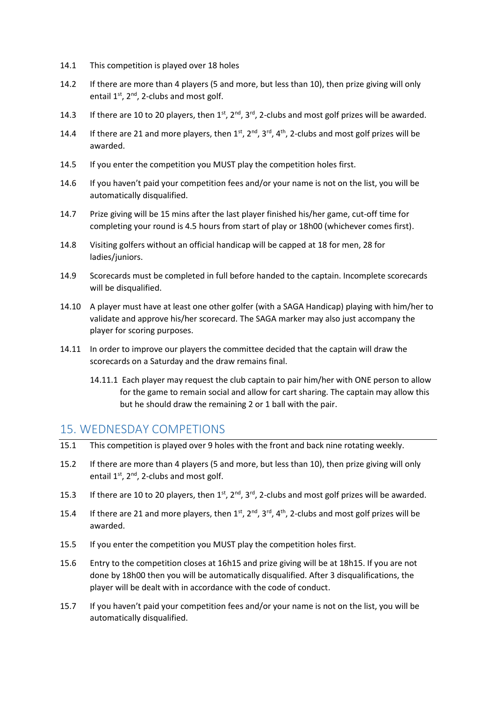- 14.1 This competition is played over 18 holes
- 14.2 If there are more than 4 players (5 and more, but less than 10), then prize giving will only entail  $1^{st}$ ,  $2^{nd}$ , 2-clubs and most golf.
- 14.3 If there are 10 to 20 players, then  $1^{st}$ ,  $2^{nd}$ ,  $3^{rd}$ , 2-clubs and most golf prizes will be awarded.
- 14.4 If there are 21 and more players, then  $1^{st}$ ,  $2^{nd}$ ,  $3^{rd}$ ,  $4^{th}$ , 2-clubs and most golf prizes will be awarded.
- 14.5 If you enter the competition you MUST play the competition holes first.
- 14.6 If you haven't paid your competition fees and/or your name is not on the list, you will be automatically disqualified.
- 14.7 Prize giving will be 15 mins after the last player finished his/her game, cut-off time for completing your round is 4.5 hours from start of play or 18h00 (whichever comes first).
- 14.8 Visiting golfers without an official handicap will be capped at 18 for men, 28 for ladies/juniors.
- 14.9 Scorecards must be completed in full before handed to the captain. Incomplete scorecards will be disqualified.
- 14.10 A player must have at least one other golfer (with a SAGA Handicap) playing with him/her to validate and approve his/her scorecard. The SAGA marker may also just accompany the player for scoring purposes.
- 14.11 In order to improve our players the committee decided that the captain will draw the scorecards on a Saturday and the draw remains final.
	- 14.11.1 Each player may request the club captain to pair him/her with ONE person to allow for the game to remain social and allow for cart sharing. The captain may allow this but he should draw the remaining 2 or 1 ball with the pair.

#### 15. WEDNESDAY COMPETIONS

- 15.1 This competition is played over 9 holes with the front and back nine rotating weekly.
- 15.2 If there are more than 4 players (5 and more, but less than 10), then prize giving will only entail  $1^{st}$ ,  $2^{nd}$ , 2-clubs and most golf.
- 15.3 If there are 10 to 20 players, then  $1^{st}$ ,  $2^{nd}$ ,  $3^{rd}$ , 2-clubs and most golf prizes will be awarded.
- 15.4 If there are 21 and more players, then  $1^{st}$ ,  $2^{nd}$ ,  $3^{rd}$ ,  $4^{th}$ , 2-clubs and most golf prizes will be awarded.
- 15.5 If you enter the competition you MUST play the competition holes first.
- 15.6 Entry to the competition closes at 16h15 and prize giving will be at 18h15. If you are not done by 18h00 then you will be automatically disqualified. After 3 disqualifications, the player will be dealt with in accordance with the code of conduct.
- 15.7 If you haven't paid your competition fees and/or your name is not on the list, you will be automatically disqualified.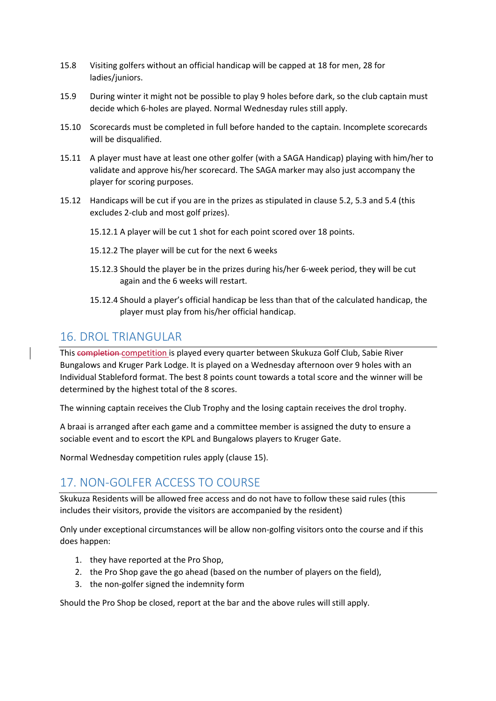- 15.8 Visiting golfers without an official handicap will be capped at 18 for men, 28 for ladies/juniors.
- 15.9 During winter it might not be possible to play 9 holes before dark, so the club captain must decide which 6-holes are played. Normal Wednesday rules still apply.
- 15.10 Scorecards must be completed in full before handed to the captain. Incomplete scorecards will be disqualified.
- 15.11 A player must have at least one other golfer (with a SAGA Handicap) playing with him/her to validate and approve his/her scorecard. The SAGA marker may also just accompany the player for scoring purposes.
- 15.12 Handicaps will be cut if you are in the prizes as stipulated in clause 5.2, 5.3 and 5.4 (this excludes 2-club and most golf prizes).
	- 15.12.1 A player will be cut 1 shot for each point scored over 18 points.
	- 15.12.2 The player will be cut for the next 6 weeks
	- 15.12.3 Should the player be in the prizes during his/her 6-week period, they will be cut again and the 6 weeks will restart.
	- 15.12.4 Should a player's official handicap be less than that of the calculated handicap, the player must play from his/her official handicap.

#### 16. DROL TRIANGUI AR

This completion competition is played every quarter between Skukuza Golf Club, Sabie River Bungalows and Kruger Park Lodge. It is played on a Wednesday afternoon over 9 holes with an Individual Stableford format. The best 8 points count towards a total score and the winner will be determined by the highest total of the 8 scores.

The winning captain receives the Club Trophy and the losing captain receives the drol trophy.

A braai is arranged after each game and a committee member is assigned the duty to ensure a sociable event and to escort the KPL and Bungalows players to Kruger Gate.

Normal Wednesday competition rules apply (clause 15).

### 17. NON-GOLFER ACCESS TO COURSE

Skukuza Residents will be allowed free access and do not have to follow these said rules (this includes their visitors, provide the visitors are accompanied by the resident)

Only under exceptional circumstances will be allow non-golfing visitors onto the course and if this does happen:

- 1. they have reported at the Pro Shop,
- 2. the Pro Shop gave the go ahead (based on the number of players on the field),
- 3. the non-golfer signed the indemnity form

Should the Pro Shop be closed, report at the bar and the above rules will still apply.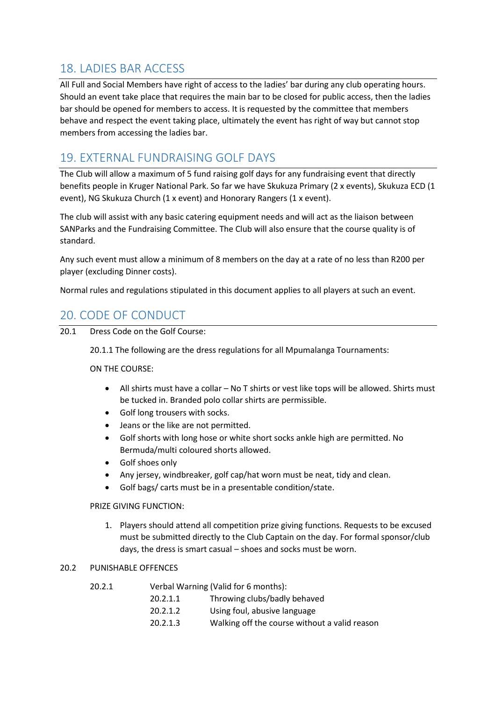## 18. LADIES BAR ACCESS

All Full and Social Members have right of access to the ladies' bar during any club operating hours. Should an event take place that requires the main bar to be closed for public access, then the ladies bar should be opened for members to access. It is requested by the committee that members behave and respect the event taking place, ultimately the event has right of way but cannot stop members from accessing the ladies bar.

## 19. EXTERNAL FUNDRAISING GOLF DAYS

The Club will allow a maximum of 5 fund raising golf days for any fundraising event that directly benefits people in Kruger National Park. So far we have Skukuza Primary (2 x events), Skukuza ECD (1 event), NG Skukuza Church (1 x event) and Honorary Rangers (1 x event).

The club will assist with any basic catering equipment needs and will act as the liaison between SANParks and the Fundraising Committee. The Club will also ensure that the course quality is of standard.

Any such event must allow a minimum of 8 members on the day at a rate of no less than R200 per player (excluding Dinner costs).

Normal rules and regulations stipulated in this document applies to all players at such an event.

## 20. CODE OF CONDUCT

20.1 Dress Code on the Golf Course:

20.1.1 The following are the dress regulations for all Mpumalanga Tournaments:

ON THE COURSE:

- All shirts must have a collar No T shirts or vest like tops will be allowed. Shirts must be tucked in. Branded polo collar shirts are permissible.
- Golf long trousers with socks.
- Jeans or the like are not permitted.
- Golf shorts with long hose or white short socks ankle high are permitted. No Bermuda/multi coloured shorts allowed.
- Golf shoes only
- Any jersey, windbreaker, golf cap/hat worn must be neat, tidy and clean.
- Golf bags/ carts must be in a presentable condition/state.

#### PRIZE GIVING FUNCTION:

1. Players should attend all competition prize giving functions. Requests to be excused must be submitted directly to the Club Captain on the day. For formal sponsor/club days, the dress is smart casual – shoes and socks must be worn.

#### 20.2 PUNISHABLE OFFENCES

| 20.2.1 |          | Verbal Warning (Valid for 6 months): |  |
|--------|----------|--------------------------------------|--|
|        | 20.2.1.1 | Throwing clubs/badly behaved         |  |
|        | 20.2.1.2 | Using foul, abusive language         |  |

20.2.1.3 Walking off the course without a valid reason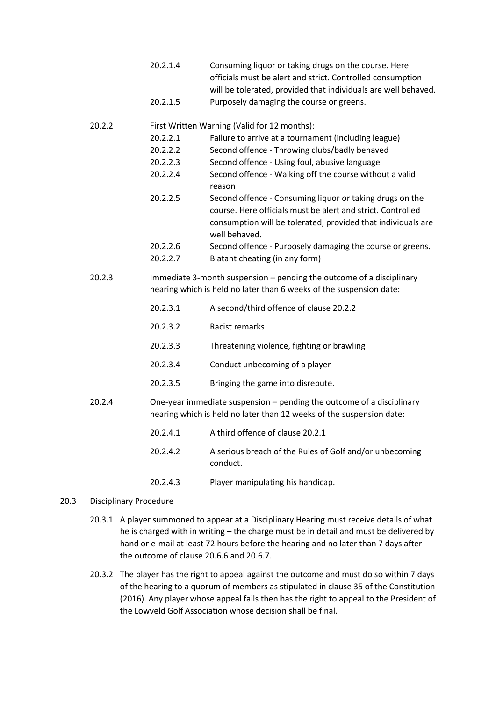- 20.2.1.4 Consuming liquor or taking drugs on the course. Here officials must be alert and strict. Controlled consumption will be tolerated, provided that individuals are well behaved. 20.2.1.5 Purposely damaging the course or greens.
- 

#### 20.2.2 First Written Warning (Valid for 12 months):

- 20.2.2.1 Failure to arrive at a tournament (including league)
- 20.2.2.2 Second offence Throwing clubs/badly behaved
- 20.2.2.3 Second offence Using foul, abusive language
- 20.2.2.4 Second offence Walking off the course without a valid reason
- 20.2.2.5 Second offence Consuming liquor or taking drugs on the course. Here officials must be alert and strict. Controlled consumption will be tolerated, provided that individuals are well behaved.
- 20.2.2.6 Second offence Purposely damaging the course or greens.
- 20.2.2.7 Blatant cheating (in any form)
- 20.2.3 Immediate 3-month suspension pending the outcome of a disciplinary hearing which is held no later than 6 weeks of the suspension date:
	- 20.2.3.1 A second/third offence of clause 20.2.2
	- 20.2.3.2 Racist remarks
	- 20.2.3.3 Threatening violence, fighting or brawling
	- 20.2.3.4 Conduct unbecoming of a player
	- 20.2.3.5 Bringing the game into disrepute.
- 20.2.4 One-year immediate suspension pending the outcome of a disciplinary hearing which is held no later than 12 weeks of the suspension date:
	- 20.2.4.1 A third offence of clause 20.2.1
	- 20.2.4.2 A serious breach of the Rules of Golf and/or unbecoming conduct.
	- 20.2.4.3 Player manipulating his handicap.

#### 20.3 Disciplinary Procedure

- 20.3.1 A player summoned to appear at a Disciplinary Hearing must receive details of what he is charged with in writing – the charge must be in detail and must be delivered by hand or e-mail at least 72 hours before the hearing and no later than 7 days after the outcome of clause 20.6.6 and 20.6.7.
- 20.3.2 The player has the right to appeal against the outcome and must do so within 7 days of the hearing to a quorum of members as stipulated in clause 35 of the Constitution (2016). Any player whose appeal fails then has the right to appeal to the President of the Lowveld Golf Association whose decision shall be final.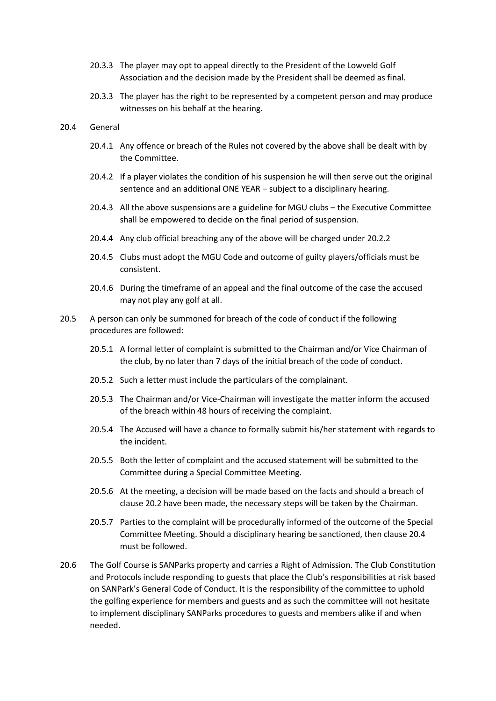- 20.3.3 The player may opt to appeal directly to the President of the Lowveld Golf Association and the decision made by the President shall be deemed as final.
- 20.3.3 The player has the right to be represented by a competent person and may produce witnesses on his behalf at the hearing.
- 20.4 General
	- 20.4.1 Any offence or breach of the Rules not covered by the above shall be dealt with by the Committee.
	- 20.4.2 If a player violates the condition of his suspension he will then serve out the original sentence and an additional ONE YEAR – subject to a disciplinary hearing.
	- 20.4.3 All the above suspensions are a guideline for MGU clubs the Executive Committee shall be empowered to decide on the final period of suspension.
	- 20.4.4 Any club official breaching any of the above will be charged under 20.2.2
	- 20.4.5 Clubs must adopt the MGU Code and outcome of guilty players/officials must be consistent.
	- 20.4.6 During the timeframe of an appeal and the final outcome of the case the accused may not play any golf at all.
- 20.5 A person can only be summoned for breach of the code of conduct if the following procedures are followed:
	- 20.5.1 A formal letter of complaint is submitted to the Chairman and/or Vice Chairman of the club, by no later than 7 days of the initial breach of the code of conduct.
	- 20.5.2 Such a letter must include the particulars of the complainant.
	- 20.5.3 The Chairman and/or Vice-Chairman will investigate the matter inform the accused of the breach within 48 hours of receiving the complaint.
	- 20.5.4 The Accused will have a chance to formally submit his/her statement with regards to the incident.
	- 20.5.5 Both the letter of complaint and the accused statement will be submitted to the Committee during a Special Committee Meeting.
	- 20.5.6 At the meeting, a decision will be made based on the facts and should a breach of clause 20.2 have been made, the necessary steps will be taken by the Chairman.
	- 20.5.7 Parties to the complaint will be procedurally informed of the outcome of the Special Committee Meeting. Should a disciplinary hearing be sanctioned, then clause 20.4 must be followed.
- 20.6 The Golf Course is SANParks property and carries a Right of Admission. The Club Constitution and Protocols include responding to guests that place the Club's responsibilities at risk based on SANPark's General Code of Conduct. It is the responsibility of the committee to uphold the golfing experience for members and guests and as such the committee will not hesitate to implement disciplinary SANParks procedures to guests and members alike if and when needed.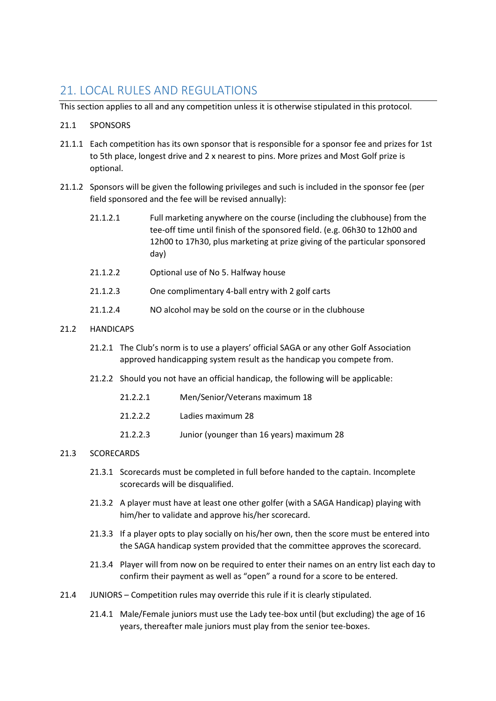#### 21. LOCAL RULES AND REGULATIONS

This section applies to all and any competition unless it is otherwise stipulated in this protocol.

#### 21.1 SPONSORS

- 21.1.1 Each competition has its own sponsor that is responsible for a sponsor fee and prizes for 1st to 5th place, longest drive and 2 x nearest to pins. More prizes and Most Golf prize is optional.
- 21.1.2 Sponsors will be given the following privileges and such is included in the sponsor fee (per field sponsored and the fee will be revised annually):
	- 21.1.2.1 Full marketing anywhere on the course (including the clubhouse) from the tee-off time until finish of the sponsored field. (e.g. 06h30 to 12h00 and 12h00 to 17h30, plus marketing at prize giving of the particular sponsored day)
	- 21.1.2.2 Optional use of No 5. Halfway house
	- 21.1.2.3 One complimentary 4-ball entry with 2 golf carts
	- 21.1.2.4 NO alcohol may be sold on the course or in the clubhouse

#### 21.2 HANDICAPS

- 21.2.1 The Club's norm is to use a players' official SAGA or any other Golf Association approved handicapping system result as the handicap you compete from.
- 21.2.2 Should you not have an official handicap, the following will be applicable:
	- 21.2.2.1 Men/Senior/Veterans maximum 18
	- 21.2.2.2 Ladies maximum 28
	- 21.2.2.3 Junior (younger than 16 years) maximum 28

#### 21.3 SCORECARDS

- 21.3.1 Scorecards must be completed in full before handed to the captain. Incomplete scorecards will be disqualified.
- 21.3.2 A player must have at least one other golfer (with a SAGA Handicap) playing with him/her to validate and approve his/her scorecard.
- 21.3.3 If a player opts to play socially on his/her own, then the score must be entered into the SAGA handicap system provided that the committee approves the scorecard.
- 21.3.4 Player will from now on be required to enter their names on an entry list each day to confirm their payment as well as "open" a round for a score to be entered.
- 21.4 JUNIORS Competition rules may override this rule if it is clearly stipulated.
	- 21.4.1 Male/Female juniors must use the Lady tee-box until (but excluding) the age of 16 years, thereafter male juniors must play from the senior tee-boxes.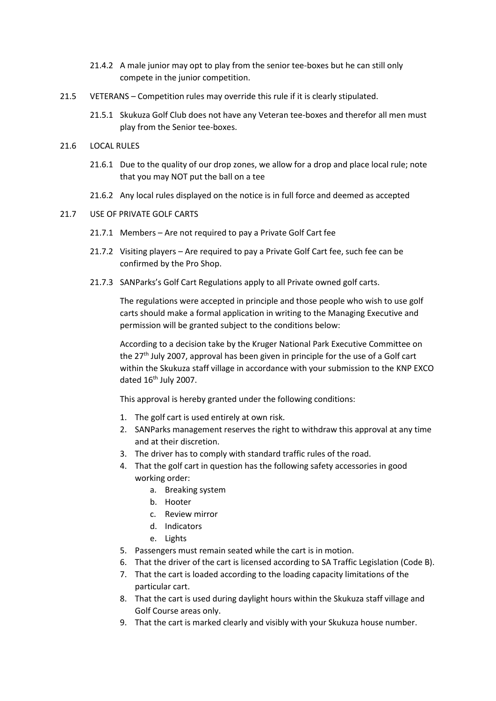- 21.4.2 A male junior may opt to play from the senior tee-boxes but he can still only compete in the junior competition.
- 21.5 VETERANS Competition rules may override this rule if it is clearly stipulated.
	- 21.5.1 Skukuza Golf Club does not have any Veteran tee-boxes and therefor all men must play from the Senior tee-boxes.
- 21.6 LOCAL RULES
	- 21.6.1 Due to the quality of our drop zones, we allow for a drop and place local rule; note that you may NOT put the ball on a tee
	- 21.6.2 Any local rules displayed on the notice is in full force and deemed as accepted
- 21.7 USE OF PRIVATE GOLF CARTS
	- 21.7.1 Members Are not required to pay a Private Golf Cart fee
	- 21.7.2 Visiting players Are required to pay a Private Golf Cart fee, such fee can be confirmed by the Pro Shop.
	- 21.7.3 SANParks's Golf Cart Regulations apply to all Private owned golf carts.

The regulations were accepted in principle and those people who wish to use golf carts should make a formal application in writing to the Managing Executive and permission will be granted subject to the conditions below:

According to a decision take by the Kruger National Park Executive Committee on the 27<sup>th</sup> July 2007, approval has been given in principle for the use of a Golf cart within the Skukuza staff village in accordance with your submission to the KNP EXCO dated 16<sup>th</sup> July 2007.

This approval is hereby granted under the following conditions:

- 1. The golf cart is used entirely at own risk.
- 2. SANParks management reserves the right to withdraw this approval at any time and at their discretion.
- 3. The driver has to comply with standard traffic rules of the road.
- 4. That the golf cart in question has the following safety accessories in good working order:
	- a. Breaking system
	- b. Hooter
	- c. Review mirror
	- d. Indicators
	- e. Lights
- 5. Passengers must remain seated while the cart is in motion.
- 6. That the driver of the cart is licensed according to SA Traffic Legislation (Code B).
- 7. That the cart is loaded according to the loading capacity limitations of the particular cart.
- 8. That the cart is used during daylight hours within the Skukuza staff village and Golf Course areas only.
- 9. That the cart is marked clearly and visibly with your Skukuza house number.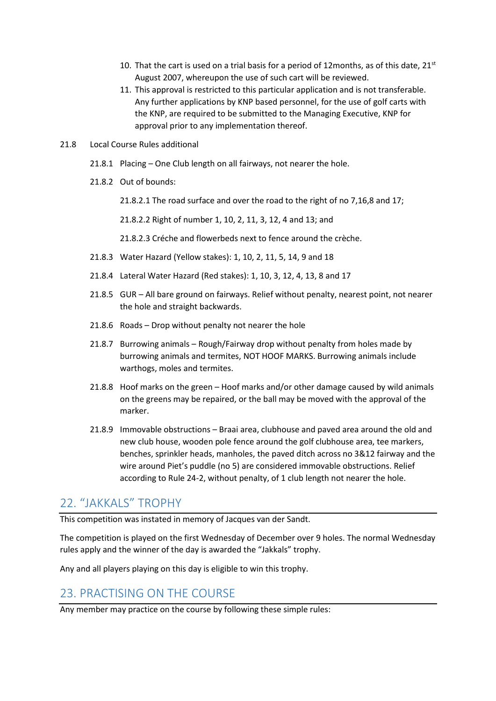- 10. That the cart is used on a trial basis for a period of 12months, as of this date,  $21^{st}$ August 2007, whereupon the use of such cart will be reviewed.
- 11. This approval is restricted to this particular application and is not transferable. Any further applications by KNP based personnel, for the use of golf carts with the KNP, are required to be submitted to the Managing Executive, KNP for approval prior to any implementation thereof.
- 21.8 Local Course Rules additional
	- 21.8.1 Placing One Club length on all fairways, not nearer the hole.
	- 21.8.2 Out of bounds:

21.8.2.1 The road surface and over the road to the right of no 7,16,8 and 17;

21.8.2.2 Right of number 1, 10, 2, 11, 3, 12, 4 and 13; and

21.8.2.3 Créche and flowerbeds next to fence around the crèche.

- 21.8.3 Water Hazard (Yellow stakes): 1, 10, 2, 11, 5, 14, 9 and 18
- 21.8.4 Lateral Water Hazard (Red stakes): 1, 10, 3, 12, 4, 13, 8 and 17
- 21.8.5 GUR All bare ground on fairways. Relief without penalty, nearest point, not nearer the hole and straight backwards.
- 21.8.6 Roads Drop without penalty not nearer the hole
- 21.8.7 Burrowing animals Rough/Fairway drop without penalty from holes made by burrowing animals and termites, NOT HOOF MARKS. Burrowing animals include warthogs, moles and termites.
- 21.8.8 Hoof marks on the green Hoof marks and/or other damage caused by wild animals on the greens may be repaired, or the ball may be moved with the approval of the marker.
- 21.8.9 Immovable obstructions Braai area, clubhouse and paved area around the old and new club house, wooden pole fence around the golf clubhouse area, tee markers, benches, sprinkler heads, manholes, the paved ditch across no 3&12 fairway and the wire around Piet's puddle (no 5) are considered immovable obstructions. Relief according to Rule 24-2, without penalty, of 1 club length not nearer the hole.

#### 22. "JAKKALS" TROPHY

This competition was instated in memory of Jacques van der Sandt.

The competition is played on the first Wednesday of December over 9 holes. The normal Wednesday rules apply and the winner of the day is awarded the "Jakkals" trophy.

Any and all players playing on this day is eligible to win this trophy.

### 23. PRACTISING ON THE COURSE

Any member may practice on the course by following these simple rules: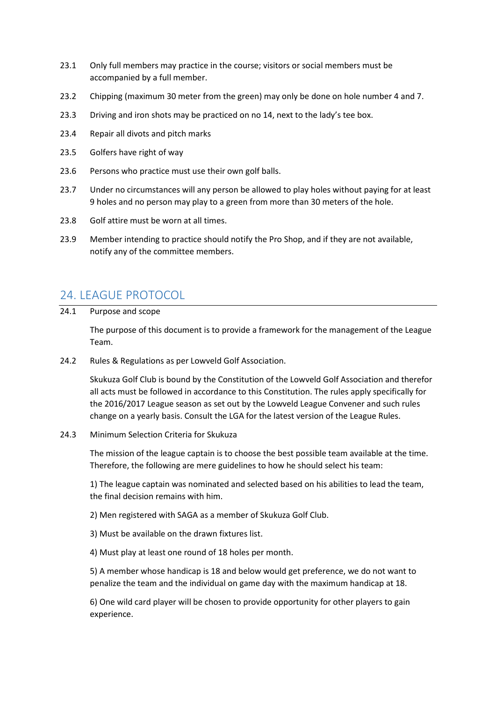- 23.1 Only full members may practice in the course; visitors or social members must be accompanied by a full member.
- 23.2 Chipping (maximum 30 meter from the green) may only be done on hole number 4 and 7.
- 23.3 Driving and iron shots may be practiced on no 14, next to the lady's tee box.
- 23.4 Repair all divots and pitch marks
- 23.5 Golfers have right of way
- 23.6 Persons who practice must use their own golf balls.
- 23.7 Under no circumstances will any person be allowed to play holes without paying for at least 9 holes and no person may play to a green from more than 30 meters of the hole.
- 23.8 Golf attire must be worn at all times.
- 23.9 Member intending to practice should notify the Pro Shop, and if they are not available, notify any of the committee members.

#### 24. LEAGUE PROTOCOL

24.1 Purpose and scope

The purpose of this document is to provide a framework for the management of the League Team.

24.2 Rules & Regulations as per Lowveld Golf Association.

Skukuza Golf Club is bound by the Constitution of the Lowveld Golf Association and therefor all acts must be followed in accordance to this Constitution. The rules apply specifically for the 2016/2017 League season as set out by the Lowveld League Convener and such rules change on a yearly basis. Consult the LGA for the latest version of the League Rules.

#### 24.3 Minimum Selection Criteria for Skukuza

The mission of the league captain is to choose the best possible team available at the time. Therefore, the following are mere guidelines to how he should select his team:

1) The league captain was nominated and selected based on his abilities to lead the team, the final decision remains with him.

2) Men registered with SAGA as a member of Skukuza Golf Club.

- 3) Must be available on the drawn fixtures list.
- 4) Must play at least one round of 18 holes per month.

5) A member whose handicap is 18 and below would get preference, we do not want to penalize the team and the individual on game day with the maximum handicap at 18.

6) One wild card player will be chosen to provide opportunity for other players to gain experience.